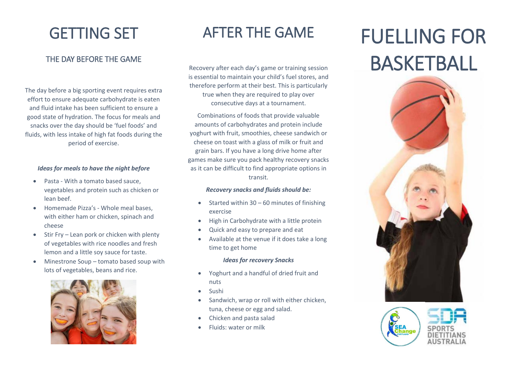## GETTING SET

### THE DAY BEFORE THE GAME

The day before a big sporting event requires extra effort to ensure adequate carbohydrate is eaten and fluid intake has been sufficient to ensure a good state of hydration. The focus for meals and snacks over the day should be 'fuel foods' and fluids, with less intake of high fat foods during the period of exercise.

#### *Ideas for meals to have the night before*

- Pasta With a tomato based sauce, vegetables and protein such as chicken or lean beef.
- Homemade Pizza's Whole meal bases, with either ham or chicken, spinach and cheese
- Stir Fry Lean pork or chicken with plenty of vegetables with rice noodles and fresh lemon and a little soy sauce for taste.
- Minestrone Soup tomato based soup with lots of vegetables, beans and rice.



## AFTER THE GAME

Recovery after each day's game or training session is essential to maintain your child's fuel stores, and therefore perform at their best. This is particularly true when they are required to play over consecutive days at a tournament.

Combinations of foods that provide valuable amounts of carbohydrates and protein include yoghurt with fruit, smoothies, cheese sandwich or cheese on toast with a glass of milk or fruit and grain bars. If you have a long drive home after games make sure you pack healthy recovery snacks as it can be difficult to find appropriate options in transit.

#### *Recovery snacks and fluids should be:*

- $\bullet$  Started within 30 60 minutes of finishing exercise
- High in Carbohydrate with a little protein
- Quick and easy to prepare and eat
- Available at the venue if it does take a long time to get home

#### *Ideas for recovery Snacks*

- Yoghurt and a handful of dried fruit and nuts
- Sushi
- Sandwich, wrap or roll with either chicken, tuna, cheese or egg and salad.
- Chicken and pasta salad
- Fluids: water or milk

# FUELLING FOR BASKETBALL